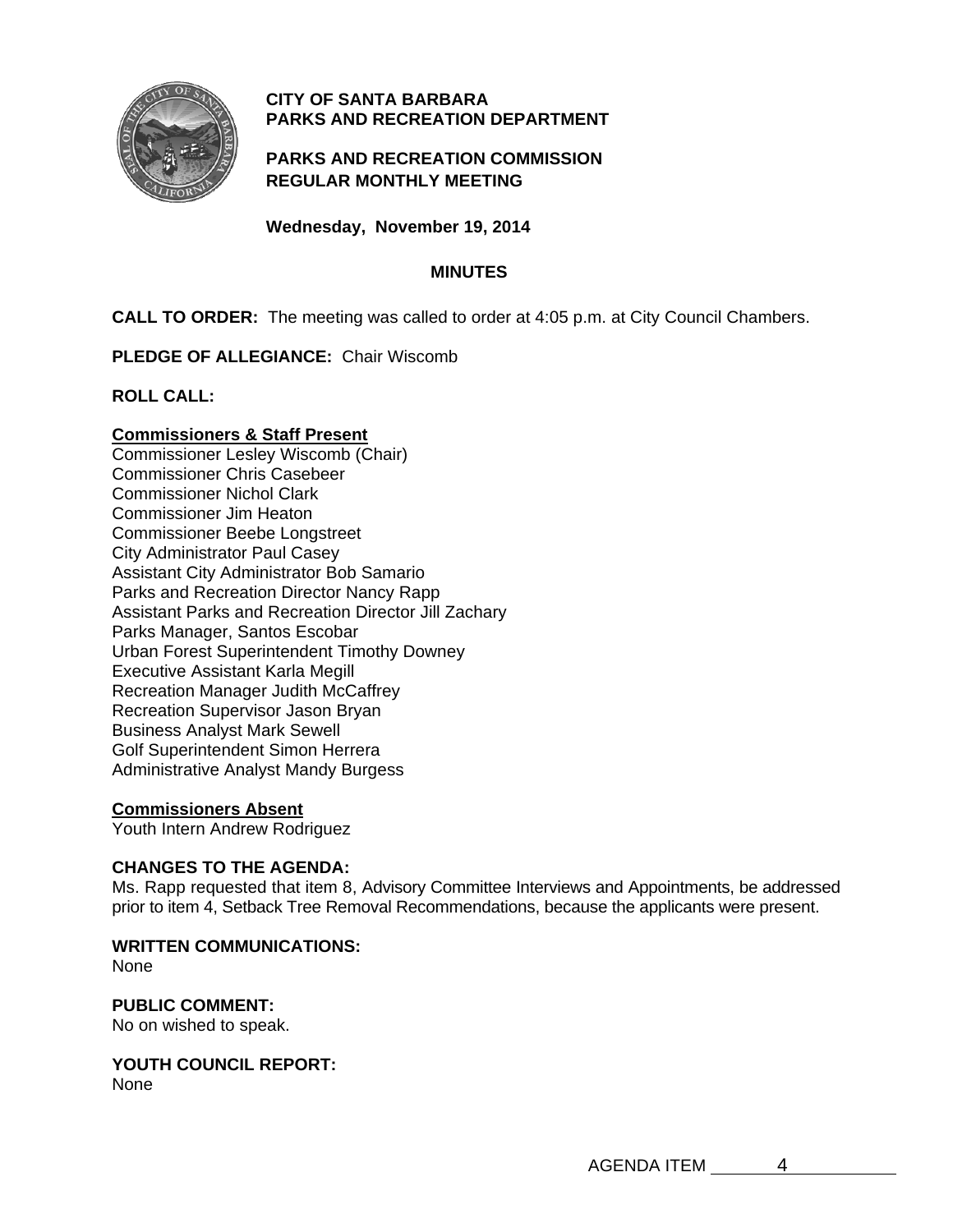

# **CITY OF SANTA BARBARA PARKS AND RECREATION DEPARTMENT**

# **PARKS AND RECREATION COMMISSION REGULAR MONTHLY MEETING**

**Wednesday, November 19, 2014** 

## **MINUTES**

**CALL TO ORDER:** The meeting was called to order at 4:05 p.m. at City Council Chambers.

**PLEDGE OF ALLEGIANCE:** Chair Wiscomb

**ROLL CALL:** 

## **Commissioners & Staff Present**

Commissioner Lesley Wiscomb (Chair) Commissioner Chris Casebeer Commissioner Nichol Clark Commissioner Jim Heaton Commissioner Beebe Longstreet City Administrator Paul Casey Assistant City Administrator Bob Samario Parks and Recreation Director Nancy Rapp Assistant Parks and Recreation Director Jill Zachary Parks Manager, Santos Escobar Urban Forest Superintendent Timothy Downey Executive Assistant Karla Megill Recreation Manager Judith McCaffrey Recreation Supervisor Jason Bryan Business Analyst Mark Sewell Golf Superintendent Simon Herrera Administrative Analyst Mandy Burgess

# **Commissioners Absent**

Youth Intern Andrew Rodriguez

## **CHANGES TO THE AGENDA:**

Ms. Rapp requested that item 8, Advisory Committee Interviews and Appointments, be addressed prior to item 4, Setback Tree Removal Recommendations, because the applicants were present.

## **WRITTEN COMMUNICATIONS:**

None

# **PUBLIC COMMENT:**

No on wished to speak.

#### **YOUTH COUNCIL REPORT:**  None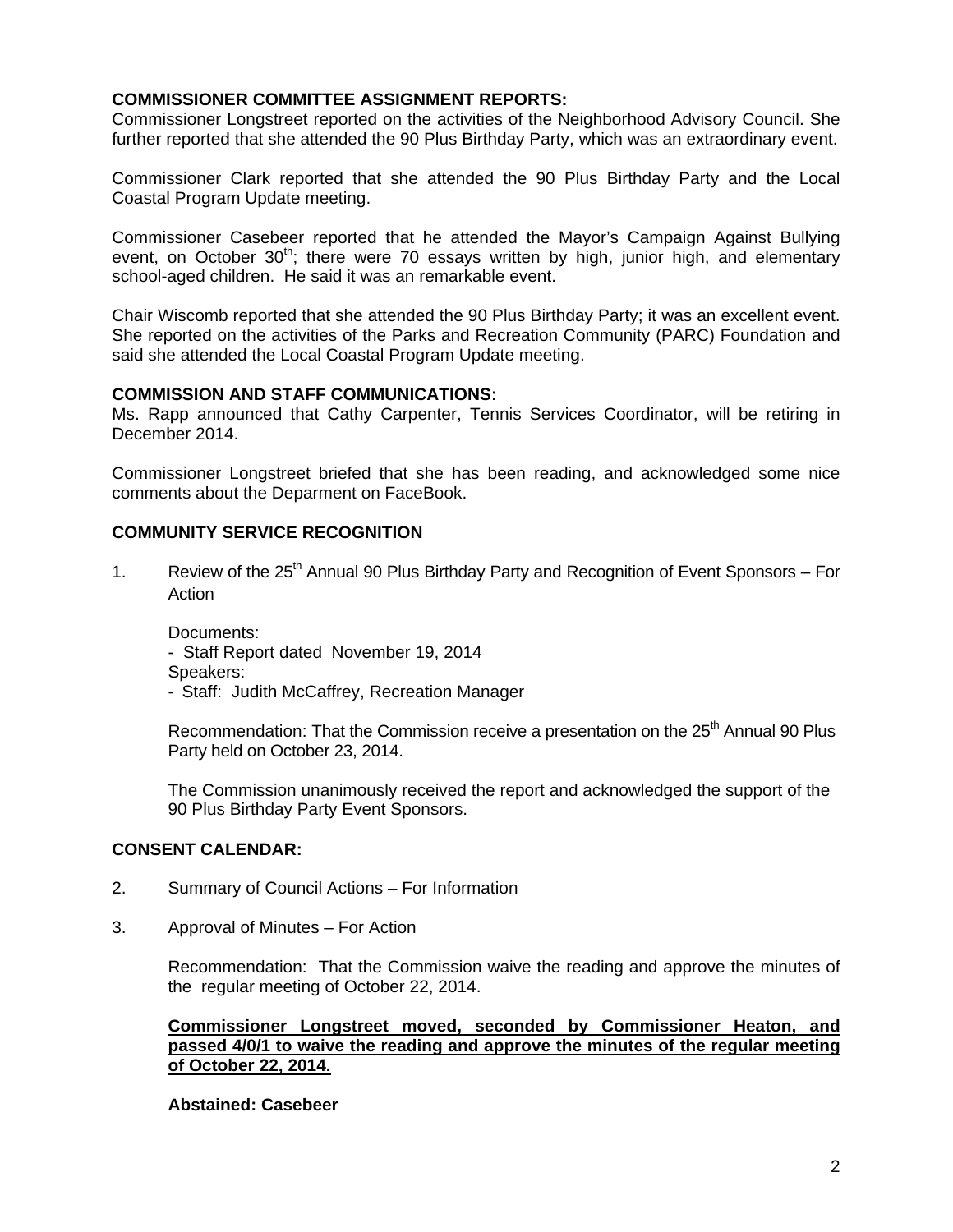## **COMMISSIONER COMMITTEE ASSIGNMENT REPORTS:**

Commissioner Longstreet reported on the activities of the Neighborhood Advisory Council. She further reported that she attended the 90 Plus Birthday Party, which was an extraordinary event.

Commissioner Clark reported that she attended the 90 Plus Birthday Party and the Local Coastal Program Update meeting.

Commissioner Casebeer reported that he attended the Mayor's Campaign Against Bullying event, on October  $30<sup>th</sup>$ ; there were 70 essays written by high, junior high, and elementary school-aged children. He said it was an remarkable event.

Chair Wiscomb reported that she attended the 90 Plus Birthday Party; it was an excellent event. She reported on the activities of the Parks and Recreation Community (PARC) Foundation and said she attended the Local Coastal Program Update meeting.

#### **COMMISSION AND STAFF COMMUNICATIONS:**

Ms. Rapp announced that Cathy Carpenter, Tennis Services Coordinator, will be retiring in December 2014.

Commissioner Longstreet briefed that she has been reading, and acknowledged some nice comments about the Deparment on FaceBook.

## **COMMUNITY SERVICE RECOGNITION**

1. Review of the  $25<sup>th</sup>$  Annual 90 Plus Birthday Party and Recognition of Event Sponsors – For Action

Documents:

- Staff Report dated November 19, 2014

Speakers:

- Staff: Judith McCaffrey, Recreation Manager

Recommendation: That the Commission receive a presentation on the 25<sup>th</sup> Annual 90 Plus Party held on October 23, 2014.

 The Commission unanimously received the report and acknowledged the support of the 90 Plus Birthday Party Event Sponsors.

### **CONSENT CALENDAR:**

- 2. Summary of Council Actions For Information
- 3. Approval of Minutes For Action

 Recommendation: That the Commission waive the reading and approve the minutes of the regular meeting of October 22, 2014.

**Commissioner Longstreet moved, seconded by Commissioner Heaton, and passed 4/0/1 to waive the reading and approve the minutes of the regular meeting of October 22, 2014.** 

#### **Abstained: Casebeer**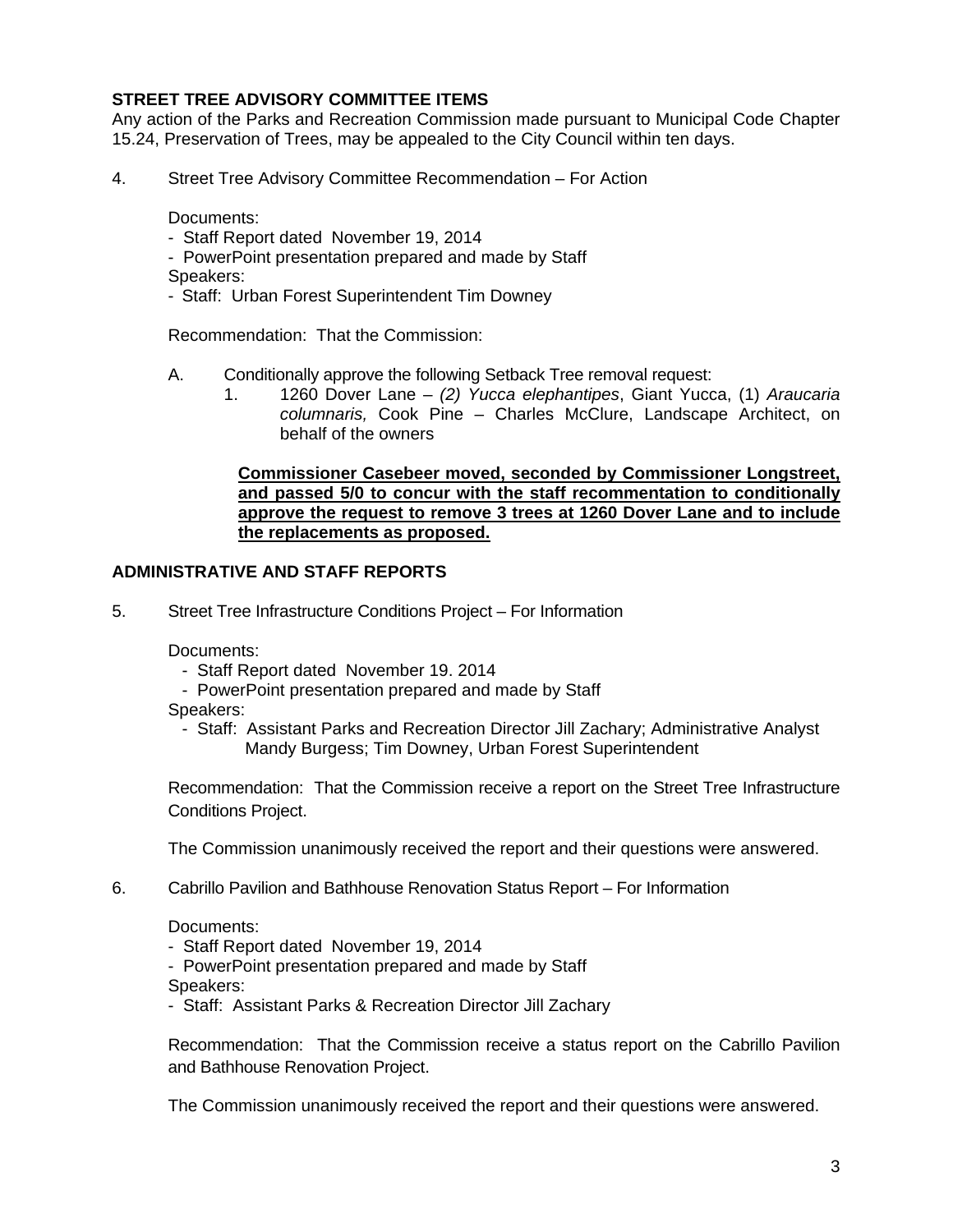# **STREET TREE ADVISORY COMMITTEE ITEMS**

Any action of the Parks and Recreation Commission made pursuant to Municipal Code Chapter 15.24, Preservation of Trees, may be appealed to the City Council within ten days.

4. Street Tree Advisory Committee Recommendation – For Action

Documents:

- Staff Report dated November 19, 2014
- PowerPoint presentation prepared and made by Staff Speakers:
- Staff: Urban Forest Superintendent Tim Downey

Recommendation: That the Commission:

- A. Conditionally approve the following Setback Tree removal request:
	- 1. 1260 Dover Lane *(2) Yucca elephantipes*, Giant Yucca, (1) *Araucaria columnaris,* Cook Pine – Charles McClure, Landscape Architect, on behalf of the owners

## **Commissioner Casebeer moved, seconded by Commissioner Longstreet, and passed 5/0 to concur with the staff recommentation to conditionally approve the request to remove 3 trees at 1260 Dover Lane and to include the replacements as proposed.**

## **ADMINISTRATIVE AND STAFF REPORTS**

5. Street Tree Infrastructure Conditions Project – For Information

Documents:

- Staff Report dated November 19. 2014
- PowerPoint presentation prepared and made by Staff

Speakers:

 - Staff: Assistant Parks and Recreation Director Jill Zachary; Administrative Analyst Mandy Burgess; Tim Downey, Urban Forest Superintendent

 Recommendation: That the Commission receive a report on the Street Tree Infrastructure Conditions Project.

The Commission unanimously received the report and their questions were answered.

6. Cabrillo Pavilion and Bathhouse Renovation Status Report – For Information

Documents:

- Staff Report dated November 19, 2014
- PowerPoint presentation prepared and made by Staff

Speakers:

- Staff: Assistant Parks & Recreation Director Jill Zachary

 Recommendation: That the Commission receive a status report on the Cabrillo Pavilion and Bathhouse Renovation Project.

The Commission unanimously received the report and their questions were answered.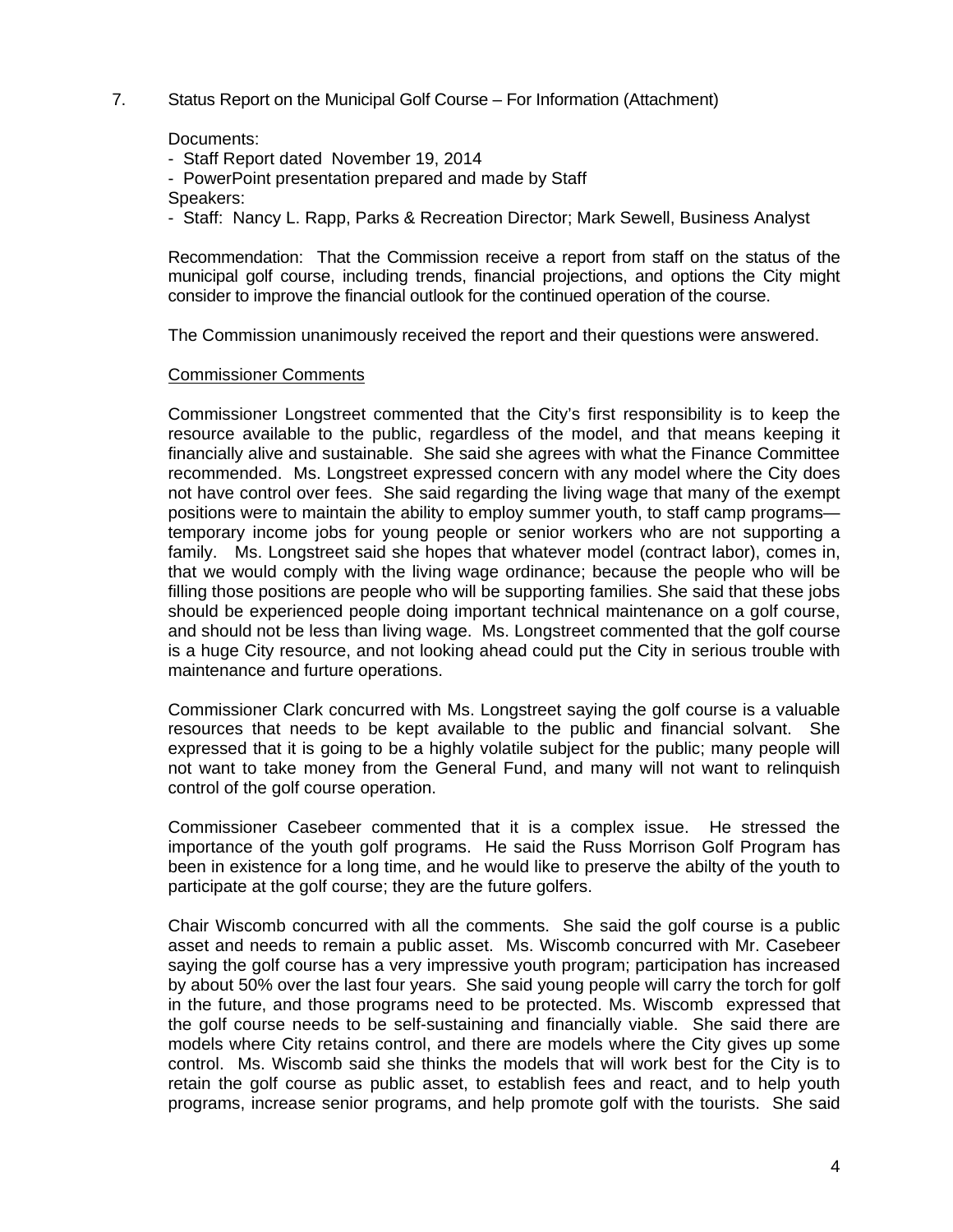7. Status Report on the Municipal Golf Course – For Information (Attachment)

Documents:

- Staff Report dated November 19, 2014
- PowerPoint presentation prepared and made by Staff
- Speakers:
- Staff: Nancy L. Rapp, Parks & Recreation Director; Mark Sewell, Business Analyst

 Recommendation: That the Commission receive a report from staff on the status of the municipal golf course, including trends, financial projections, and options the City might consider to improve the financial outlook for the continued operation of the course.

The Commission unanimously received the report and their questions were answered.

#### Commissioner Comments

 Commissioner Longstreet commented that the City's first responsibility is to keep the resource available to the public, regardless of the model, and that means keeping it financially alive and sustainable. She said she agrees with what the Finance Committee recommended. Ms. Longstreet expressed concern with any model where the City does not have control over fees. She said regarding the living wage that many of the exempt positions were to maintain the ability to employ summer youth, to staff camp programs temporary income jobs for young people or senior workers who are not supporting a family. Ms. Longstreet said she hopes that whatever model (contract labor), comes in, that we would comply with the living wage ordinance; because the people who will be filling those positions are people who will be supporting families. She said that these jobs should be experienced people doing important technical maintenance on a golf course, and should not be less than living wage. Ms. Longstreet commented that the golf course is a huge City resource, and not looking ahead could put the City in serious trouble with maintenance and furture operations.

 Commissioner Clark concurred with Ms. Longstreet saying the golf course is a valuable resources that needs to be kept available to the public and financial solvant. She expressed that it is going to be a highly volatile subject for the public; many people will not want to take money from the General Fund, and many will not want to relinquish control of the golf course operation.

Commissioner Casebeer commented that it is a complex issue. He stressed the importance of the youth golf programs. He said the Russ Morrison Golf Program has been in existence for a long time, and he would like to preserve the abilty of the youth to participate at the golf course; they are the future golfers.

Chair Wiscomb concurred with all the comments. She said the golf course is a public asset and needs to remain a public asset. Ms. Wiscomb concurred with Mr. Casebeer saying the golf course has a very impressive youth program; participation has increased by about 50% over the last four years. She said young people will carry the torch for golf in the future, and those programs need to be protected. Ms. Wiscomb expressed that the golf course needs to be self-sustaining and financially viable. She said there are models where City retains control, and there are models where the City gives up some control. Ms. Wiscomb said she thinks the models that will work best for the City is to retain the golf course as public asset, to establish fees and react, and to help youth programs, increase senior programs, and help promote golf with the tourists. She said